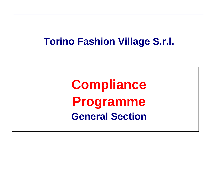# **Torino Fashion Village S.r.l.**

**Compliance Programme General Section**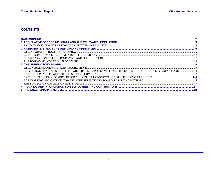## **CONTENTS**

| 3.2 GENERAL PRINCIPLES ON THE ESTABLISHMENT, APPOINTMENT AND REPLACEMENT OF THE SUPERVISORY BOARD  10 |  |
|-------------------------------------------------------------------------------------------------------|--|
|                                                                                                       |  |
|                                                                                                       |  |
|                                                                                                       |  |
|                                                                                                       |  |
|                                                                                                       |  |
|                                                                                                       |  |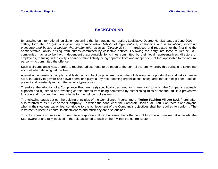# **BACKGROUND**

<span id="page-2-0"></span>By drawing on international legislation governing the fight against corruption, Legislative Decree No. 231 dated 8 June 2001 setting forth the "*Regulations governing administrative liability of legal entities, companies and associations, including unincorporated bodies of people" (hereinafter referred to as "Decree 231") —* introduced and regulated for the first time the administrative liability arising from crimes committed by collective entities. Following the entry into force of Decree 231, companies may also be held independently accountable for crimes committed by their legal representatives, directors or employees, resulting in the entity's administrative liability being separate from and independent of that applicable to the natural person who committed the offence.

Such a circumstance has, therefore, required adjustments to be made to the control system, whereby this variable is taken into account when defining risk profiles.

Against an increasingly complex and fast-changing backdrop, where the number of development opportunities and risks increase alike, the ability to govern one's own operations plays a key role, adopting organisational safeguards that can help keep track of, prevent and constantly monitor the various types of risk.

Therefore, the adoption of a Compliance Programme (i) specifically designed for "crime risks" to which the Company is actually exposed and (ii) aimed at preventing certain crimes from being committed by establishing rules of conduct, fulfils a preventive function and provides the primary basis for the risk control system.

The following pages set out the guiding principles of the Compliance Programme of **Torino Fashion Village S.r.l.** (hereinafter also referred to as "**TFV**" or the "**Company**") to which the conduct of the Corporate Bodies, all Staff, Contractors and anyone who, in their various capacities, contribute to the achievement of the Company's objectives shall be required to conform. The instruments used to ensure its effectiveness and efficiency are also outlined.

This document also sets out to promote a corporate culture that strengthens the control function and makes, at all levels, the Staff aware of and fully involved in the role assigned to each of them within the control system.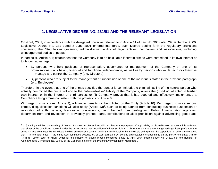# **1. LEGISLATIVE DECREE NO. 231/01 AND THE RELEVANT LEGISLATION**

<span id="page-3-0"></span>On 4 July 2001, in accordance with the delegated power as referred to in Article 11 of Law No. 300 dated 29 September 2000, Legislative Decree No. 231 dated 8 June 2001 entered into force, such Decree setting forth the regulatory provisions concerning the "Regulations governing administrative liability of legal entities, companies and associations, including unincorporated bodies of people".

In particular, Article 5(1) establishes that the Company is to be held liable if certain crimes were committed in its own interest or to its own advantage:

- By persons who hold positions of representation, governance or management of the Company or one of its organisational units having financial and functional independence, as well as by persons who — de facto or otherwise — manage and control the Company (e.g. Directors);
- By persons who are subject to the management or supervision of one of the individuals stated in the previous paragraph (e.g. Employees).

Therefore, in the event that one of the crimes specified thereunder is committed, the criminal liability of the natural person who actually committed the crime will add to the "administrative" liability of the Company, unless the (i) individual acted in his/her own interest or in the interest of third parties, or (ii) Company proves that it has adopted and effectively implemented a Compliance Programme consistent with the provisions of Article 6.

With regard to sanctions (Article 9), a financial penalty will be inflicted on the Entity (Article 10). With regard to more serious crimes, disqualification sanctions will also apply (Article 13)<sup>1</sup>, such as being banned from conducting business; suspension or revocation of authorisations, licences or concessions; being banned from dealing with Public Administration agencies; debarment from and revocation of previously granted loans, contributions or aids; prohibition against advertising goods and

 $1$  "[...] Having said this, the wording of Article 13 is clear insofar as it establishes that for the purposes of applicability of disqualification sanctions it is sufficient that either of the conditions required under the provision are met: repetition of crimes (Article 13(1)(b) or the fact that the Entity gained significant profit from the crime if it was committed by individuals holding an executive position within the Entity itself or by individuals acting under the supervision of others in the event that — in the latter case — the crime was committed because of, or was facilitated by, serious organisational shortcomings on the part of the Entity (Article 13(1)(a)" (Lower court of Milan "Order for the infliction of disqualification measures" dated 27 April 2004 entered under No. 2460/03 of the Register of Acknowledged Crimes and No. 950/03 of the General Register of the Preliminary Investigation Magistrate).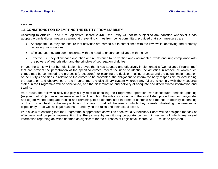services.

## <span id="page-4-0"></span>**1.1 CONDITIONS FOR EXEMPTING THE ENTITY FROM LIABILITY**

According to Articles 6 and 7 of Legislative Decree 231/01, the Entity will not be subject to any sanction whenever it has adopted organisational measures aimed at preventing crimes from being committed, provided that such measures are:

- Appropriate, i.e. they can ensure that activities are carried out in compliance with the law, while identifying and promptly removing risk situations;
- Efficient, i.e. they are commensurate with the need to ensure compliance with the law;
- Effective, i.e. they allow each operation or circumstance to be verified and documented, while ensuring compliance with the powers of authorisation and the principle of segregation of duties.

In fact, the Entity will not be held liable if it proves that it has adopted and effectively implemented a "Compliance Programme" that can prevent the perpetration of the specified crimes, meets the need to identify the activities in respect of which such crimes may be committed; the protocols (procedures) for planning the decision-making process and the actual implementation of the Entity's decisions in relation to the crimes to be prevented; the obligations to inform the body responsible for overseeing the operation and observance of the Programme; the disciplinary system whereby any failure to comply with the measures stated in the Programme will be sanctioned, and the dissemination and delivery of adequate and differentiated information and training.

As a result, the following activities play a key role: (i) checking the Programme operation, with consequent periodic updating (*ex post* control); (ii) raising awareness and disclosing both the rules of conduct and the established procedures company-wide; and (iii) delivering adequate training and retraining, to be differentiated in terms of contents and method of delivery depending on the position held by the recipients and the level of risk of the area in which they operate, illustrating the reasons of expediency — as well as legal reasons — underlying the rules and their actual scope.

With a view to ensuring that the Programme is appropriate as well as effective, a Supervisory Board will be assigned the task of effectively and properly implementing the Programme by monitoring corporate conduct, in respect of which any useful information regarding activities deemed as significant for the purposes of Legislative Decree 231/01 must be provided.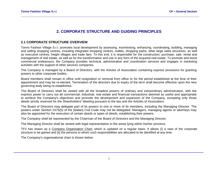# **2. CORPORATE STRUCTURE AND GUIDING PRINCIPLES**

## <span id="page-5-1"></span><span id="page-5-0"></span>**2.1 CORPORATE STRUCTURE OVERVIEW**

Torino Fashion Village S.r.l. promotes local development by assessing, incentivising, enhancing, coordinating, building, managing and selling shopping centres, including integrated shopping centres, outlets, shopping parks, other large sales structures, as well as executive centres, freight villages and trade fairs. To this end, it is responsible for the construction, purchase, sale, rental and management of real estate, as well as for the transformation and use in any form of the acquired real estate. To promote and boost commercial endeavours, the Company provides technical, administrative and coordination services and engages in marketing activities with the support of other services companies.

The Company is managed by a Board of Directors, with the Articles of Association containing express provisions for granting powers to other corporate bodies.

Board members shall remain in office until resignation or removal from office or for the period established at the time of their appointment and may be re-elected. Termination of the directors due to expiry of the term shall become effective upon the new governing body being re-established.

The Board of Directors shall be vested with all the broadest powers of ordinary and extraordinary administration, with the express power to carry out all commercial, industrial, real estate and financial transactions deemed as useful and appropriate to achieve the Company's objectives and promote the development and expansion of the Company, excepting only those deeds strictly reserved for the Shareholders' Meeting pursuant to the law and the Articles of Association.

The Board of Directors may delegate part of its powers to one or more of its members, including the Managing Director. The powers under Section 2475(5) of the [Italian] Civil Code may not be delegated. Managers, managing agents or attorneys may also be appointed for the execution of certain deeds or types of deeds, establishing their powers.

The Company shall be represented by the Chairman of the Board of Directors and the Managing Director.

The Managing Director shall be vested with legal representation in the areas lying within his/her province.

TFV has drawn up a Company Organisation Chart, which is updated on a regular basis. It allows (i) a view of the corporate structure to be gained and (ii) the persons to whom such responsibilities are allocated to be identified at any time.

The Company's organisational chart is shown below: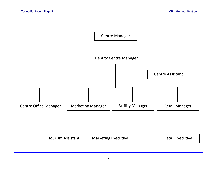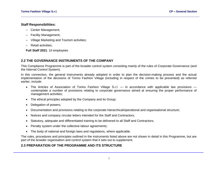## **Staff Responsibilities:**

- Center Management;
- Facility Management;
- Village Marketing and Tourism activities;
- Retail activities;

**Full Staff 2021**: 10 employees

## <span id="page-7-0"></span>**2.2 THE GOVERNANCE INSTRUMENTS OF THE COMPANY**

This Compliance Programme is part of the broader control system consisting mainly of the rules of Corporate Governance (and the Internal Control System).

In this connection, the general instruments already adopted in order to plan the decision-making process and the actual implementation of the decisions of Torino Fashion Village (including in respect of the crimes to be prevented) as referred earlier, include:

- The Articles of Association of Torino Fashion Village S.r.l. in accordance with applicable law provisions contemplate a number of provisions relating to corporate governance aimed at ensuring the proper performance of management activities;
- The ethical principles adopted by the Company and its Group;
- Delegation of powers;
- Documentation and provisions relating to the corporate hierarchical/operational and organisational structure;
- Notices and company circular letters intended for the Staff and Contractors;
- Statutory, adequate and differentiated training to be delivered to all Staff and Contractors;
- Penalty system under the collective labour agreements;
- The body of national and foreign laws and regulations, where applicable.

The rules, procedures and principles outlined in the instruments listed above are not shown in detail in this Programme, but are part of the broader organisation and control system that it sets out to supplement.

## <span id="page-7-1"></span>**2.3 PREPARATION OF THE PROGRAMME AND ITS STRUCTURE**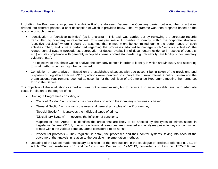In drafting the Programme as pursuant to Article 6 of the aforesaid Decree, the Company carried out a number of activities divided into different phases, a brief description of which is provided below. The Programme was then prepared based on the outcome of such phases:

• Identification of "sensitive activities" (as-is analysis) – This task was carried out by reviewing the corporate records transmitted by company representatives. This analysis made it possible to identify, within the corporate structure, "sensitive activities" where it could be assumed that crimes might be committed during the performance of such activities. Then, audits were performed regarding the processes adopted to manage such "sensitive activities", the related control system (procedures, segregation of duties, availability of documentary evidence in respect of controls, etc.) and its compliance with generally accepted internal control standards (e.g. traceability, availability of documentary evidence, etc.).

The objective of this phase was to analyse the company context in order to identify in which area/industry and according to what methods crimes might be committed;

• Completion of gap analysis – Based on the established situation, with due account being taken of the provisions and purposes of Legislative Decree 231/01, actions were identified to improve the current Internal Control System and the organisational requirements deemed as essential for the definition of a Compliance Programme meeting the norms set forth in the Decree;

The objective of the evaluations carried out was not to remove risk, but to reduce it to an acceptable level with adequate costs, in relation to the degree of risk.

- Drafting a Programme consisting of:
	- "Code of Conduct" It contains the core values on which the Company's business is based;
	- "General Section" It contains the rules and general principles of the Programme;
	- "Special Section" It analyses the individual types of crime;
	- "Disciplinary System" It governs the infliction of sanctions;
	- Mapping of Risk Areas It identifies the areas that are likely to be affected by the types of crimes stated in Legislative Decree 231/01, checks how financial resources are managed and analyses possible ways of committing crimes within the various company areas considered to be at risk;
	- Procedural protocols They regulate, in detail, the processes and their control systems, taking into account the outcome of the analysis in relation to the possible implementation methods.
- Updating of the Model made necessary as a result of the introduction, in the catalogue of predicate offences n. 231, of Article 25-quinquiesdecies co.1 and co.1-bis (Law Decree no. 124/2019, converted into Law no. 157/2019, and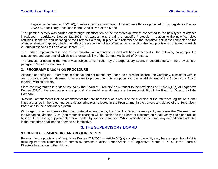Legislative Decree no. 75/2020), in relation to the commission of certain tax offences provided for by Legislative Decree 74/2000, specifically described in the Special Part of the Model.

The updating activity was carried out through: identification of the "sensitive activities" connected to the new types of offence introduced in Legislative Decree 321/2001, risk assessment, drafting of specific Protocols in relation to the new "sensitive activities" identified and updating of the Protocols already in place with reference to the "sensitive activities" connected to the offences already mapped, which may affect the prevention of tax offences, as a result of the new provisions contained in Article 25-quinquiesdecies of Legislative Decree 231.

The update implemented is part of the "substantial" amendments and additions described in the following paragraph, the assessment and approval of which is the responsibility of the Company's Board of Directors.

The process of updating the Model was subject to verification by the Supervisory Board, in accordance with the provisions of paragraph 3.3 of this document.

#### <span id="page-9-0"></span>**2.4 PROGRAMME ADOPTION PROCEDURE**

Although adopting the Programme is optional and not mandatory under the aforesaid Decree, the Company, consistent with its own corporate policies, deemed it necessary to proceed with its adoption and the establishment of the Supervisory Board, together with its powers.

Since the Programme is a "deed issued by the Board of Directors" as pursuant to the provisions of Article 6(1)(a) of Legislative Decree 231/01, the evaluation and approval of material amendments are the responsibility of the Board of Directors of the Company.

"Material" amendments include amendments that are necessary as a result of the evolution of the reference legislation or that imply a change in the rules and behavioural principles reflected in the Programme, in the powers and duties of the Supervisory Board and in the disciplinary system.

With regard to amendments other than material amendments, the Board of Directors may jointly empower the Chairman and the Managing Director. Such (non-material) changes will be notified to the Board of Directors on a half-yearly basis and ratified by it or, if necessary, supplemented or amended by specific resolution. While ratification is pending, any amendments adopted in the meantime shall not be deemed as ineffective.

# **3. THE SUPERVISORY BOARD**

## <span id="page-9-2"></span><span id="page-9-1"></span>**3.1 GENERAL FRAMEWORK AND REQUIREMENTS**

Pursuant to the provisions of Legislative Decree 231/2001 — Article 6(1)(a) and (b) — the entity may be exempted from liability resulting from the commission of crimes by persons qualified under Article 5 of Legislative Decree 231/2001 if the Board of Directors has, among other things: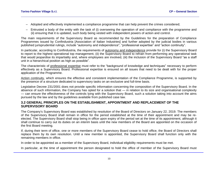- Adopted and effectively implemented a compliance programme that can help prevent the crimes considered;
- Entrusted a body of the entity with the task of (i) overseeing the operation of and compliance with the programme and (ii) ensuring that it is updated, such body being vested with independent powers of action and control.

The main requirements of the Supervisory Board as recommended by the Guidelines for the preparation of Compliance Programmes issued by Confindustria [Association of Italian Industries] and further adopted by the judicial bodies in various published jurisprudential rulings, include "autonomy and independence", "professional expertise" and "action continuity".

In particular, according to Confindustria, the requirements of autonomy and independence provide for (i) the Supervisory Board to report to the highest operational top management, (ii) the Supervisory Board to refrain from performing any operational task that would jeopardise its impartiality and, where employees are involved, (iii) the inclusion of the Supervisory Board "as a staff unit in a hierarchical position as high as possible".

The characteristic of professional expertise must refer to the "background of knowledge and techniques" necessary to perform effectively as a Supervisory Board. Professional expertise is ensured on all issues that need to be dealt with for the proper application of the Programme.

Action continuity, which ensures the effective and consistent implementation of the Compliance Programme, is supported by the presence of a structure dedicated to supervisory tasks on an exclusive and full-time basis.

Legislative Decree 231/2001 does not provide specific information concerning the composition of the Supervisory Board. In the absence of such information, the Company has opted for a solution that — in relation to its size and organisational complexity — can ensure the effectiveness of the controls lying with the Supervisory Board, such a solution taking into account the aims pursued by the law and by the guidelines available from published case law.

#### <span id="page-10-0"></span>**3.2 GENERAL PRINCIPLES ON THE ESTABLISHMENT, APPOINTMENT AND REPLACEMENT OF THE SUPERVISORY BOARD**

The Company's Supervisory Board was established by resolution of the Board of Directors on January 22, 2019. The members of the Supervisory Board shall remain in office for the period established at the time of their appointment and may be reelected. The Supervisory Board shall stop being in office upon expiry of the period set at the time of its appointment, although it shall continue to carry out its duties on an *interim* basis until the new members of the Board are appointed on the occasion of the first Board meeting.

If, during their term of office, one or more members of the Supervisory Board cease to hold office, the Board of Directors shall replace them by its own resolution. Until a new member is appointed, the Supervisory Board shall function only with the remaining members in office.

In order to be appointed as a member of the Supervisory Board, individual eligibility requirements must be met.

In particular, at the time of appointment the person designated to hold the office of member of the Supervisory Board must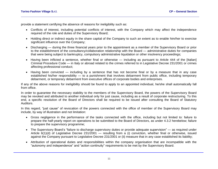provide a statement certifying the absence of reasons for ineligibility such as:

- Conflicts of interest, including potential conflicts of interest, with the Company which may affect the independence required of the role and duties of the Supervisory Board;
- Holding direct or indirect equity in the share capital of the Company to such an extent as to enable him/her to exercise significant influence over the Company;
- Discharging during the three financial years prior to the appointment as a member of the Supervisory Board or prior to the establishment of the consultancy/collaboration relationship with the Board — administrative duties for companies that were being subject to bankruptcy, compulsory administrative liquidation or other insolvency proceedings;
- Having been inflicted a sentence, whether final or otherwise including as pursuant to Article 444 of the [Italian] Criminal Procedure Code — in Italy or abroad related to the crimes referred to in Legislative Decree 231/2001 or crimes affecting professional conduct;
- Having been convicted including by a sentence that has not become final or by a measure that in any case established his/her responsibility — to a punishment that involves debarment from public office, including temporary debarment, or temporary debarment from executive offices of corporate bodies and enterprises.

If any of the above reasons for ineligibility should be found to apply to an appointed individual, he/she shall automatically fall from office.

In order to guarantee the necessary stability to the members of the Supervisory Board, the powers of the Supervisory Board may be revoked and attributed to another individual only for just cause, including as a result of corporate restructuring. To this end, a specific resolution of the Board of Directors shall be required to be issued after consulting the Board of Statutory Auditors.

In this regard, "just cause" of revocation of the powers connected with the office of member of the Supervisory Board may include, by way of illustration and not limitation:

- Gross negligence in the performance of the tasks connected with the office, including but not limited to: failure to prepare the half-yearly report on operations to be submitted to the Board of Directors, as under 4.3.2 herebelow; failure to prepare the supervisory programme;
- The Supervisory Board's "failure to discharge supervisory duties or provide adequate supervision" as required under Article 6(1)(d) of Legislative Decree 231/2001 — resulting from a (i) conviction, whether final or otherwise, issued against the Company pursuant to Legislative Decree 231/2001 or (ii) measure that in any case established its liability;
- Attribution of operational duties and responsibilities within the company organisation that are incompatible with the "autonomy and independence" and "action continuity" requirements to be met by the Supervisory Board.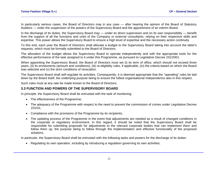In particularly serious cases, the Board of Directors may in any case — after hearing the opinion of the Board of Statutory Auditors — order the suspension of the powers of the Supervisory Board and the appointment of an interim Board.

In the discharge of its duties, the Supervisory Board may — under its direct supervision and on its own responsibility — benefit from the support of all the functions and units of the Company or external consultants, relying on their respective skills and expertise. This power allows the Supervisory Board to ensure a high level of expertise and the necessary action continuity.

To this end, each year the Board of Directors shall allocate a budget to the Supervisory Board taking into account the latter's requests, which must be formally submitted to the Board of Directors.

The allocation of the budget allows the Supervisory Board to operate independently and with the appropriate tools for the effective performance of the task assigned to it under this Programme, as pursuant to Legislative Decree 231/2001.

When appointing the Supervisory Board, the Board of Directors must set (i) its term of office, which should not exceed three years, (ii) its emoluments (amount and conditions), (iii) re-eligibility rules, if applicable, (iv) the criteria based on which the Board was selected and (v) the strict conditions of revocation.

The Supervisory Board shall self-regulate its activities. Consequently, it is deemed appropriate that the "operating" rules be laid down by the Board itself, the underlying purpose being to ensure the fullest organisational independence also in this respect.

Such rules must at any rate be made known to the Board of Directors.

#### <span id="page-12-0"></span>**3.3 FUNCTION AND POWERS OF THE SUPERVISORY BOARD**

In principle, the Supervisory Board shall be entrusted with the task of monitoring:

- The effectiveness of the Programme;
- The adequacy of the Programme with respect to the need to prevent the commission of crimes under Legislative Decree 231/01;
- Compliance with the provisions of the Programme by its recipients;
- The updating process of the Programme in the event that adjustments are needed as a result of changed conditions in the corporate or regulatory environment. In this regard, it should be noted that the Supervisory Board shall be responsible for submitting proposals for adjustments to the relevant corporate bodies that can implement them and follow them up, the purpose being to follow through the implementation and effective functionality of the proposed solutions.

In particular, the Supervisory Board shall be entrusted with the following tasks and powers for the discharge of its duties:

• Regulating its own operation, including by introducing a regulation governing its own activities;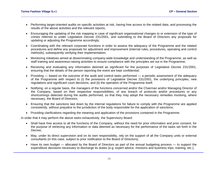- Performing target-oriented audits on specific activities at risk, having free access to the related data, and processing the results of the above activities and the relevant reports;
- Encouraging the updating of the risk mapping in case of significant organisational changes to or extension of the type of crimes referred to under Legislative Decree 231/2001, and submitting to the Board of Directors any proposals for updating or adjusting the Programme accordingly;
- Coordinating with the relevant corporate functions in order to assess the adequacy of the Programme and the related procedures and define any proposals for adjustment and improvement (internal rules, procedures, operating and control methods), subsequently verifying their implementation;
- Monitoring initiatives aimed at disseminating company-wide knowledge and understanding of the Programme, as well as staff training and awareness-raising activities to ensure compliance with the principles set out in the Programme;
- Receiving and evaluating any information deemed as significant for the purposes of Legislative Decree 231/2001, ensuring that the details of the person reporting the event are kept confidential;
- Providing based on the outcome of the audit and control tasks performed a periodic assessment of the adequacy of the Programme with respect to (i) the provisions of Legislative Decree 231/2001, the underlying principles, new regulations and significant court decisions, and (ii) the operation of the Programme itself;
- Notifying, on a regular basis, the managers of the functions concerned and/or the Chairman and/or Managing Director of the Company, based on their respective responsibilities, of any breach of protocols and/or procedures or any shortcomings detected during the audits performed, so that they may adopt the necessary remedies involving, where necessary, the Board of Directors;
- Ensuring that the sanctions laid down by the internal regulations for failure to comply with the Programme are applied consistently, without prejudice to the jurisdiction of the body responsible for the application of sanctions;
- Providing clarifications regarding the meaning and application of the provisions contained in the Programme.

In order that it may perform the above tasks exhaustively, the Supervisory Board:

- Shall have free access to all the functions of the Company, without the need for prior information and prior consent, for the purpose of retrieving any information or data deemed as necessary for the performance of the tasks set forth in the Decree;
- May, under its direct supervision and on its own responsibility, rely on the support of all the Company units or external consultants (in this case, subject to prior notification to the Board of Directors);
- Have its own budget allocated by the Board of Directors as part of the annual budgeting process to support the expenditure decisions necessary to discharge its duties (e.g. expert advice, missions and business trips, training, etc.);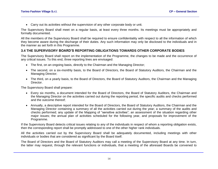• Carry out its activities without the supervision of any other corporate body or unit.

The Supervisory Board shall meet on a regular basis, at least every three months. Its meetings must be appropriately and formally documented.

All the members of the Supervisory Board shall be required to ensure confidentiality with respect to all the information of which they become aware during the discharge of their duties. Any such information may only be disclosed to the individuals and in the manner as set forth in this Programme.

## <span id="page-14-0"></span>**3.4 THE SUPERVISORY BOARD'S REPORTING OBLIGATIONS TOWARDS OTHER CORPORATE BODIES**

The Supervisory Board shall report on the implementation of the Programme, the changes to be made and the occurrence of any critical issues. To this end, three reporting lines are envisaged:

- The first, on an ongoing basis, directly to the Chairman and the Managing Director;
- The second, on a six-monthly basis, to the Board of Directors, the Board of Statutory Auditors, the Chairman and the Managing Director;
- The third, on a yearly basis, to the Board of Directors, the Board of Statutory Auditors, the Chairman and the Managing Director.

The Supervisory Board shall prepare:

- Every six months, a document intended for the Board of Directors, the Board of Statutory Auditors, the Chairman and the Managing Director on the activities carried out during the reporting period, the specific audits and checks performed and the outcome thereof;
- Annually, a descriptive report intended for the Board of Directors, the Board of Statutory Auditors, the Chairman and the Managing Director containing a summary of all the activities carried out during the year; a summary of the audits and checks performed; any update of the Mapping of "sensitive activities"; an assessment of the situation regarding other major issues; the annual plan of activities scheduled for the following year, and proposals for improvement of the Programme.

If the Supervisory Board detects critical issues relating to any of the individuals in respect of whom a reporting obligation exists, then the corresponding report shall be promptly addressed to one of the other higher rank individuals.

All the activities carried out by the Supervisory Board shall be adequately documented, including meetings with other individuals or bodies that are considered as significant by the Board itself.

The Board of Directors and the Board of Statutory Auditors may call a meeting of the Supervisory Board at any time. In turn, the latter may request, through the relevant functions or individuals, that a meeting of the aforesaid Boards be convened to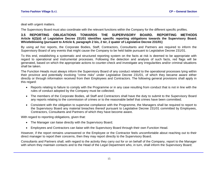deal with urgent matters.

The Supervisory Board must also coordinate with the relevant functions within the Company for the different specific profiles.

#### <span id="page-15-0"></span>**3.5 REPORTING OBLIGATIONS TOWARDS THE SUPERVISORY BOARD. REPORTING METHODS Article 6(2)(d) of Legislative Decree 231/01 identifies specific reporting obligations towards the Supervisory Board. Whistleblowing (pursuant to Article 6, paragraph 2 bis, 2 ter, 2 quater of Legislative Decree 231/01)**

By using *ad hoc* reports, the Corporate Bodies, Staff, Contractors, Consultants and Partners are required to inform the Supervisory Board of any events that might cause the Company to be held liable pursuant to Legislative Decree 231/01.

To this end, establishing a systematic and structured reporting system on the facts at risk is deemed to be appropriate with regard to operational and instrumental processes. Following the detection and analysis of such facts, red flags will be generated, based on which the appropriate actions to counter-check and investigate any irregularities and/or criminal situations shall be taken.

The Function Heads must always inform the Supervisory Board of any conduct related to the operational processes lying within their province and potentially involving "crime risks" under Legislative Decree 231/01, of which they became aware either directly or through information received from their Employees and Contractors. The following general provisions shall apply in this regard:

- Reports relating to failure to comply with the Programme or in any case resulting from conduct that is not in line with the rules of conduct adopted by the Company must be collected;
- The members of the Corporate Bodies, all Staff and Contractors shall have the duty to submit to the Supervisory Board any reports relating to the commission of crimes or to the reasonable belief that crimes have been committed;
- Consistent with the obligation to supervise compliance with the Programme, the Managers shall be required to report to the Supervisory Board any material breaches thereof pursuant to Legislative Decree 231/01 committed by Employees, Contractors, Consultants and Partners of which they have become aware.

With regard to reporting obligations, given that:

- The Manager can liaise directly with the Supervisory Board;
- Employees and Contractors can liaise with the Supervisory Board through their own Function Head.

However, if the report remains unanswered or the Employee or the Contractor feels uncomfortable about reaching out to their direct manager to report their concerns, then they may report directly to the Supervisory Board.

Consultants and Partners shall, with regard to the activity they carry out for or on behalf of the Company, report to the Manager with whom they maintain contacts and to the Head of the Legal Department who, in turn, shall inform the Supervisory Board;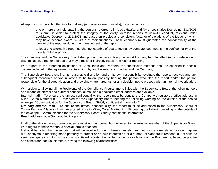All reports must be submitted in a formal way (on paper or electronically), by providing for:

- one or more channels enabling the persons referred to in Article 5(1)(a) and (b) of Legislative Decree no. 231/2001 to submit, in order to protect the integrity of the entity, detailed reports of unlawful conduct, relevant under Legislative Decree no. 231/2001 and based on precise and consistent facts, or of violations of the Model of which they have become aware by virtue of their functions. These channels must guarantee the confidentiality of the identity of the reporter during the management of the report;
- at least one alternative reporting channel capable of guaranteeing, by computerised means, the confidentiality of the identity of the reporter.

The Company and the Supervisory Board shall protect the person filing the report from any harmful effect (acts of retaliation or discrimination, direct or indirect) that may directly or indirectly result from his/her reporting.

With regard to the reporting obligations of Consultants and Partners, the submission methods shall be specified in special clauses included in the agreements entered into by and between such parties and the Company.

The Supervisory Board shall, at its reasonable discretion and on its own responsibility, evaluate the reports received and any subsequent measures and/or initiatives to be taken, possibly hearing the person who filed the report and/or the person responsible for the alleged violation and providing written grounds for any decision not to proceed with an internal investigation.

With a view to allowing all the Recipients of the Compliance Programme to liaise with the Supervisory Board, the following tools and means of internal and external confidential mail and a dedicated email address are available.

**Internal mail** – To ensure the utmost confidentiality, the report must be sent to the Company's registered office address in Milan, Corso Matteotti n. 10, reserved for the Supervisory Board, bearing the following wording on the outside of the sealed envelope: "Communication for the Supervisory Board. Strictly confidential information".

**Ordinary external mail** – To ensure the utmost confidentiality, the report must be addressed to the Supervisory Board of Torino Fashion Village s.r.l. with registered office in Milan, Corso Matteotti n. 10, bearing the following wording on the outside of the envelope: "Communication for the Supervisory Board. Strictly confidential information".

**Email address:** odv@torinooutletvillage.com

In all of the above cases, correspondence must not be opened but delivered to the external member of the Supervisory Board. With regard to these reports, a special form is attached.

It should be noted that the reports that will be received through these channels must not pursue a merely accusatory purpose (i.e., [anonymous](http://it.wikipedia.org/wiki/Anonimato) reporting made primarily to protect one's own interests or for a number of slanderous reasons, out of spite, to seek revenge, etc.) but must be circumstantiated reports of unlawful conduct or violations of the Programme, based on precise and concordant factual elements, having the following characteristics: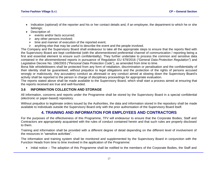- Description of:
	- ➢ events and/or facts occurred;
	- $\triangleright$  any other persons involved;
	- $\triangleright$  time and manner of execution of the reported event;
	- $\triangleright$  anything else that may be useful to describe the event and the people involved.

The Company and the Supervisory Board shall endeavour to take all the appropriate steps to ensure that the reports filed with the Supervisory Board are kept confidential (with the aforementioned preferential channel of communication / reporting being a first and essential element to ensure such confidentiality). They further undertake to process the common and sensitive data contained in the aforementioned reports in pursuance of Regulation EU 679/2016 (*"General Data Protection Regulation"*) and Legislative Decree No. 196/2003 *("Personal Data Protection Code*"), as amended from time to time.

Bona fide whistleblowers shall be protected from any form of retaliation, discrimination or penalisation and the confidentiality of their identity shall be guaranteed, without prejudice to legal obligations and the protection of the rights of persons accused wrongly or maliciously. Any accusatory conduct as aforesaid or any conduct aimed at slowing down the Supervisory Board's activity shall be reported to the person in charge of disciplinary proceedings for appropriate evaluation.

The reports stated above shall be made available to the Supervisory Board, which shall start a process aimed at ensuring that the reports received are true and well-founded.

## <span id="page-17-0"></span>**3.6 INFORMATION COLLECTION AND STORAGE**

All information, concerns and reports under the Programme shall be stored by the Supervisory Board in a special confidential (electronic or paper-based) repository.

<span id="page-17-1"></span>Without prejudice to legitimate orders issued by the Authorities, the data and information stored in the repository shall be made available to individuals outside the Supervisory Board only with the prior authorisation of the Supervisory Board itself.

# **4. TRAINING AND INFORMATION FOR EMPLOYEES AND CONTRACTORS**

For the purposes of the effectiveness of this Programme, TFV will endeavour to ensure that the Corporate Bodies, Staff and Contractors are appropriately acquainted with the rules of conduct contained herein and that such rules are properly disclosed to them.

Training and information shall be provided with a different degree of detail depending on the different level of involvement of the resources in "sensitive activities".

The information and training system shall be monitored and supplemented by the Supervisory Board in conjunction with the Function Heads from time to time involved in the application of the Programme:

• Initial notice – The adoption of this Programme shall be notified to the members of the Corporate Bodies, the Staff and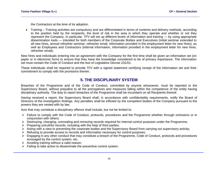the Contractors at the time of its adoption.

• Training – Training activities are compulsory and are differentiated in terms of contents and delivery methods, according to the position held by the recipients, the level of risk in the area in which they operate and whether or not they represent the Company. In particular, TFV will set up different levels of information and training — by using appropriate dissemination tools — intended for both members of the Corporate Bodies and Executives (initial seminar extended to all new hires, annual refresher seminar, refresher email, information provided in the employment letter for new hires), as well as Employees and Contractors (internal information, information provided in the employment letter for new hires, refresher email);

New hires and individuals entering into an agreement with the Company for the first time shall be given an information set (on paper or in electronic form) to ensure that they have the knowledge considered to be of primary importance. The information set must contain the Code of Conduct and the text of Legislative Decree 231/01.

These individuals shall be required to provide TFV with a signed statement certifying receipt of the information set and their commitment to comply with the provisions therein.

# **5. THE DISCIPLINARY SYSTEM**

<span id="page-18-0"></span>Breaches of the Programme and of the Code of Conduct, committed by anyone whosoever, must be reported to the Supervisory Board, without prejudice to all the prerogatives and measures falling within the competence of the entity having disciplinary authority. The duty to report breaches of the Programme shall be incumbent on all Recipients thereof.

Having received a report, the Supervisory Board shall, in accordance with confidentiality requirements, notify the Board of Directors of the investigation findings. Any penalties shall be inflicted by the competent bodies of the Company pursuant to the powers they are vested with by law.

Acts that may constitute a disciplinary offence shall include, but not be limited to:

- ➢ Failure to comply with the Code of Conduct, protocols, procedures and the Programme whether through omissions or in conjunction with others;
- ➢ Destroying, changing, concealing and removing records required for internal control purposes under the Programme;
- $\triangleright$  Preparing untruthful records, including with the help of third parties;
- ➢ Acting with a view to preventing the corporate bodies and the Supervisory Board from carrying out supervisory activity;
- ➢ Refusing to provide access to records and information necessary for control purposes;
- ➢ Engaging in any other conduct that may constitute a breach of the Programme, Code of Conduct, protocols and procedures envisaged by the control system, etc.
- $\triangleright$  Avoiding training without a valid reason;
- $\triangleright$  Failing to take action to disseminate the preventive control system.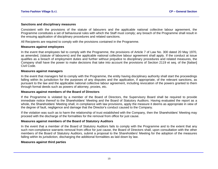#### **Sanctions and disciplinary measures**

Consistent with the provisions of the statute of labourers and the applicable national collective labour agreement, the Programme constitutes a set of behavioural rules with which the Staff must comply; any breach of the Programme shall result in the ensuing application of disciplinary procedures and related sanctions.

All Recipients are required to comply with the provisions contained in the Programme.

#### **Measures against employees**

In the event that employees fail to comply with the Programme, the provisions of Article 7 of Law No. 300 dated 20 May 1970, as amended, (statute of labourers) and the applicable national collective labour agreement shall apply. If the conduct at issue qualifies as a breach of employment duties and further without prejudice to disciplinary procedures and related measures, the Company shall have the power to make decisions that take into account the provisions of Section 2119 et seq. of the [Italian] Civil Code.

#### **Measures against managers**

In the event that managers fail to comply with the Programme, the entity having disciplinary authority shall start the proceedings falling within its jurisdiction for the purposes of any disputes and the application, if appropriate, of the relevant sanctions, as pursuant to the law and the applicable national collective labour agreement, including revocation of the powers granted to them through formal deeds such as powers of attorney, proxies, etc.

#### **Measures against members of the Board of Directors**

If the Programme is violated by a member of the Board of Directors, the Supervisory Board shall be required to provide immediate notice thereof to the Shareholders' Meeting and the Board of Statutory Auditors. Having evaluated the report as a whole, the Shareholders' Meeting shall, in compliance with law provisions, apply the measure it deems as appropriate in view of the degree of fault, negligence and damage that the Director's conduct caused to the Company.

If the violation was such as to harm the relationship of trust established with the Company, then the Shareholders' Meeting may proceed with the discharge of the formalities for the removal from office for just cause.

#### **Measures against members of the Board of Statutory Auditors**

In the event that a member of the Board of Statutory Auditors fails to comply with the Programme and to the extent that any such non-compliance warrants removal from office for just cause, the Board of Directors shall, upon consultation with the other members of the Board of Statutory Auditors, submit a proposal to the Shareholders' Meeting for the adoption of the measures falling within its jurisdiction, discharging the additional formalities as laid down by law.

#### **Measures against third parties**